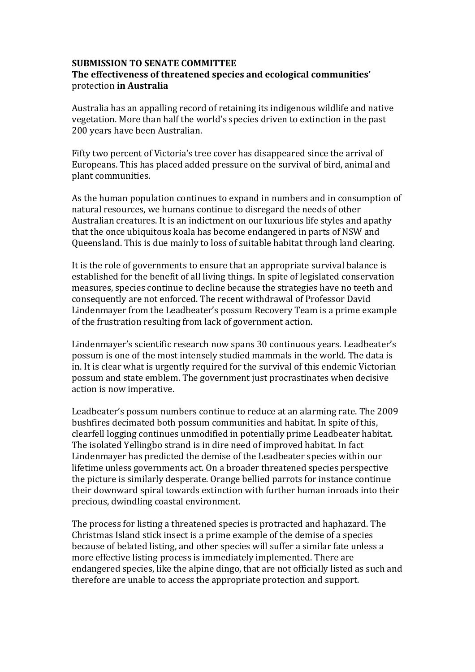## **SUBMISSION TO SENATE COMMITTEE The effectiveness of threatened species and ecological communities'** protection **in Australia**

Australia has an appalling record of retaining its indigenous wildlife and native vegetation. More than half the world's species driven to extinction in the past 200 years have been Australian.

Fifty two percent of Victoria's tree cover has disappeared since the arrival of Europeans. This has placed added pressure on the survival of bird, animal and plant communities.

As the human population continues to expand in numbers and in consumption of natural resources, we humans continue to disregard the needs of other Australian creatures. It is an indictment on our luxurious life styles and apathy that the once ubiquitous koala has become endangered in parts of NSW and Queensland. This is due mainly to loss of suitable habitat through land clearing.

It is the role of governments to ensure that an appropriate survival balance is established for the benefit of all living things. In spite of legislated conservation measures, species continue to decline because the strategies have no teeth and consequently are not enforced. The recent withdrawal of Professor David Lindenmayer from the Leadbeater's possum Recovery Team is a prime example of the frustration resulting from lack of government action.

Lindenmayer's scientific research now spans 30 continuous years. Leadbeater's possum is one of the most intensely studied mammals in the world. The data is in. It is clear what is urgently required for the survival of this endemic Victorian possum and state emblem. The government just procrastinates when decisive action is now imperative.

Leadbeater's possum numbers continue to reduce at an alarming rate. The 2009 bushfires decimated both possum communities and habitat. In spite of this, clearfell logging continues unmodified in potentially prime Leadbeater habitat. The isolated Yellingbo strand is in dire need of improved habitat. In fact Lindenmayer has predicted the demise of the Leadbeater species within our lifetime unless governments act. On a broader threatened species perspective the picture is similarly desperate. Orange bellied parrots for instance continue their downward spiral towards extinction with further human inroads into their precious, dwindling coastal environment.

The process for listing a threatened species is protracted and haphazard. The Christmas Island stick insect is a prime example of the demise of a species because of belated listing, and other species will suffer a similar fate unless a more effective listing process is immediately implemented. There are endangered species, like the alpine dingo, that are not officially listed as such and therefore are unable to access the appropriate protection and support.